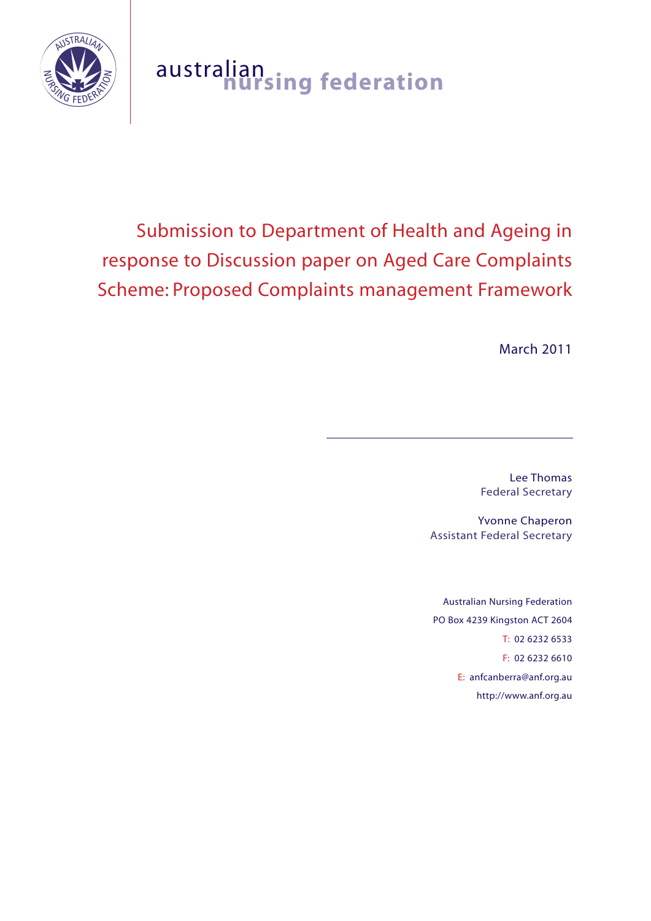

# australian **nursing federation**

# Submission to Department of Health and Ageing in response to Discussion paper on Aged Care Complaints Scheme: Proposed Complaints management Framework

March 2011

Lee Thomas Federal Secretary

Yvonne Chaperon Assistant Federal Secretary

Australian Nursing Federation PO Box 4239 Kingston ACT 2604 T: 02 6232 6533 F: 02 6232 6610 E: anfcanberra@anf.org.au http://www.anf.org.au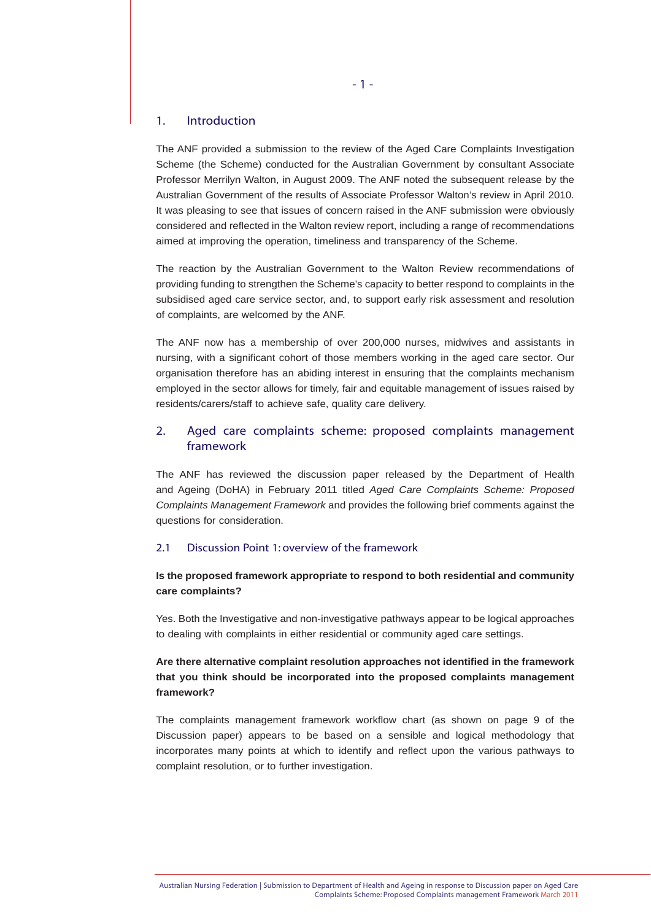# 1. Introduction

The ANF provided a submission to the review of the Aged Care Complaints Investigation Scheme (the Scheme) conducted for the Australian Government by consultant Associate Professor Merrilyn Walton, in August 2009. The ANF noted the subsequent release by the Australian Government of the results of Associate Professor Walton's review in April 2010. It was pleasing to see that issues of concern raised in the ANF submission were obviously considered and reflected in the Walton review report, including a range of recommendations aimed at improving the operation, timeliness and transparency of the Scheme.

The reaction by the Australian Government to the Walton Review recommendations of providing funding to strengthen the Scheme's capacity to better respond to complaints in the subsidised aged care service sector, and, to support early risk assessment and resolution of complaints, are welcomed by the ANF.

The ANF now has a membership of over 200,000 nurses, midwives and assistants in nursing, with a significant cohort of those members working in the aged care sector. Our organisation therefore has an abiding interest in ensuring that the complaints mechanism employed in the sector allows for timely, fair and equitable management of issues raised by residents/carers/staff to achieve safe, quality care delivery.

# 2. Aged care complaints scheme: proposed complaints management framework

The ANF has reviewed the discussion paper released by the Department of Health and Ageing (DoHA) in February 2011 titled *Aged Care Complaints Scheme: Proposed Complaints Management Framework* and provides the following brief comments against the questions for consideration.

# 2.1 Discussion Point 1: overview of the framework

# **Is the proposed framework appropriate to respond to both residential and community care complaints?**

Yes. Both the Investigative and non-investigative pathways appear to be logical approaches to dealing with complaints in either residential or community aged care settings.

**Are there alternative complaint resolution approaches not identified in the framework that you think should be incorporated into the proposed complaints management framework?**

The complaints management framework workflow chart (as shown on page 9 of the Discussion paper) appears to be based on a sensible and logical methodology that incorporates many points at which to identify and reflect upon the various pathways to complaint resolution, or to further investigation.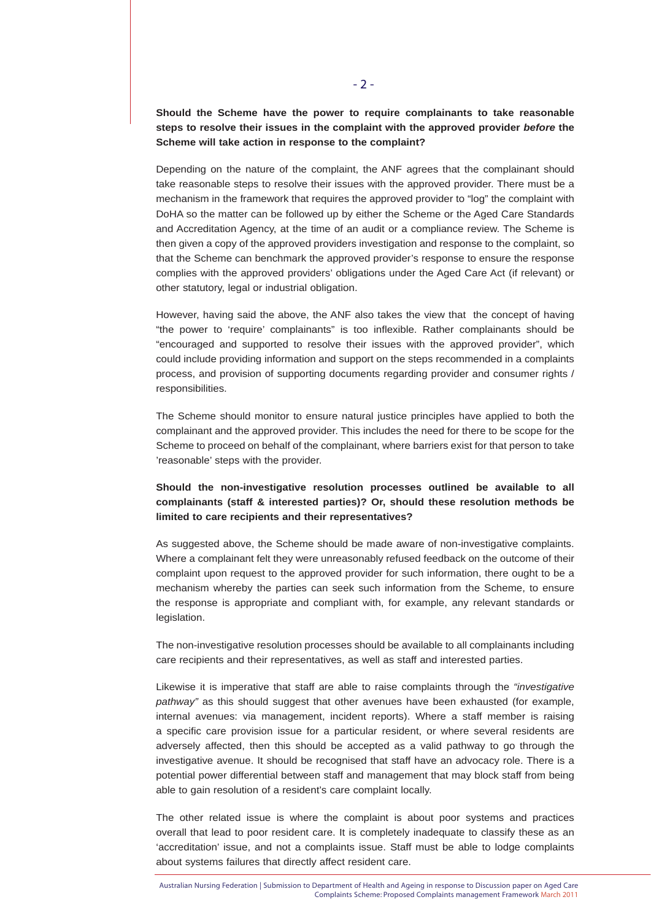**Should the Scheme have the power to require complainants to take reasonable steps to resolve their issues in the complaint with the approved provider** *before* **the Scheme will take action in response to the complaint?**

Depending on the nature of the complaint, the ANF agrees that the complainant should take reasonable steps to resolve their issues with the approved provider. There must be a mechanism in the framework that requires the approved provider to "log" the complaint with DoHA so the matter can be followed up by either the Scheme or the Aged Care Standards and Accreditation Agency, at the time of an audit or a compliance review. The Scheme is then given a copy of the approved providers investigation and response to the complaint, so that the Scheme can benchmark the approved provider's response to ensure the response complies with the approved providers' obligations under the Aged Care Act (if relevant) or other statutory, legal or industrial obligation.

However, having said the above, the ANF also takes the view that the concept of having "the power to 'require' complainants" is too inflexible. Rather complainants should be "encouraged and supported to resolve their issues with the approved provider", which could include providing information and support on the steps recommended in a complaints process, and provision of supporting documents regarding provider and consumer rights / responsibilities.

The Scheme should monitor to ensure natural justice principles have applied to both the complainant and the approved provider. This includes the need for there to be scope for the Scheme to proceed on behalf of the complainant, where barriers exist for that person to take 'reasonable' steps with the provider.

# **Should the non-investigative resolution processes outlined be available to all complainants (staff & interested parties)? Or, should these resolution methods be limited to care recipients and their representatives?**

As suggested above, the Scheme should be made aware of non-investigative complaints. Where a complainant felt they were unreasonably refused feedback on the outcome of their complaint upon request to the approved provider for such information, there ought to be a mechanism whereby the parties can seek such information from the Scheme, to ensure the response is appropriate and compliant with, for example, any relevant standards or legislation.

The non-investigative resolution processes should be available to all complainants including care recipients and their representatives, as well as staff and interested parties.

Likewise it is imperative that staff are able to raise complaints through the *"investigative pathway"* as this should suggest that other avenues have been exhausted (for example, internal avenues: via management, incident reports). Where a staff member is raising a specific care provision issue for a particular resident, or where several residents are adversely affected, then this should be accepted as a valid pathway to go through the investigative avenue. It should be recognised that staff have an advocacy role. There is a potential power differential between staff and management that may block staff from being able to gain resolution of a resident's care complaint locally.

The other related issue is where the complaint is about poor systems and practices overall that lead to poor resident care. It is completely inadequate to classify these as an 'accreditation' issue, and not a complaints issue. Staff must be able to lodge complaints about systems failures that directly affect resident care.

Australian Nursing Federation | Submission to Department of Health and Ageing in response to Discussion paper on Aged Care Complaints Scheme: Proposed Complaints management Framework March 2011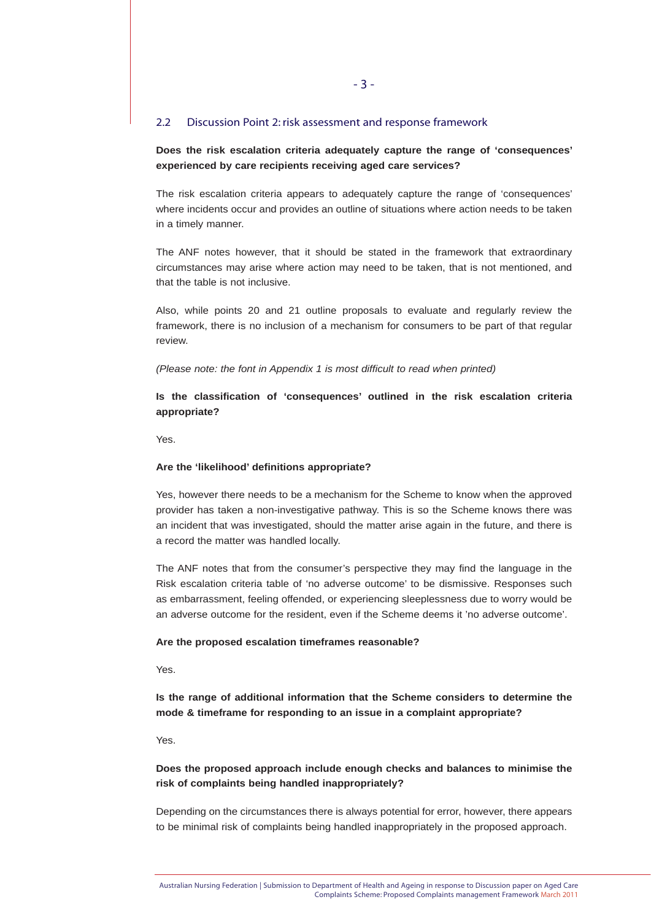#### 2.2 Discussion Point 2: risk assessment and response framework

# **Does the risk escalation criteria adequately capture the range of 'consequences' experienced by care recipients receiving aged care services?**

The risk escalation criteria appears to adequately capture the range of 'consequences' where incidents occur and provides an outline of situations where action needs to be taken in a timely manner.

The ANF notes however, that it should be stated in the framework that extraordinary circumstances may arise where action may need to be taken, that is not mentioned, and that the table is not inclusive.

Also, while points 20 and 21 outline proposals to evaluate and regularly review the framework, there is no inclusion of a mechanism for consumers to be part of that regular review.

#### *(Please note: the font in Appendix 1 is most difficult to read when printed)*

**Is the classification of 'consequences' outlined in the risk escalation criteria appropriate?**

Yes.

#### **Are the 'likelihood' definitions appropriate?**

Yes, however there needs to be a mechanism for the Scheme to know when the approved provider has taken a non-investigative pathway. This is so the Scheme knows there was an incident that was investigated, should the matter arise again in the future, and there is a record the matter was handled locally.

The ANF notes that from the consumer's perspective they may find the language in the Risk escalation criteria table of 'no adverse outcome' to be dismissive. Responses such as embarrassment, feeling offended, or experiencing sleeplessness due to worry would be an adverse outcome for the resident, even if the Scheme deems it 'no adverse outcome'.

#### **Are the proposed escalation timeframes reasonable?**

Yes.

**Is the range of additional information that the Scheme considers to determine the mode & timeframe for responding to an issue in a complaint appropriate?**

Yes.

# **Does the proposed approach include enough checks and balances to minimise the risk of complaints being handled inappropriately?**

Depending on the circumstances there is always potential for error, however, there appears to be minimal risk of complaints being handled inappropriately in the proposed approach.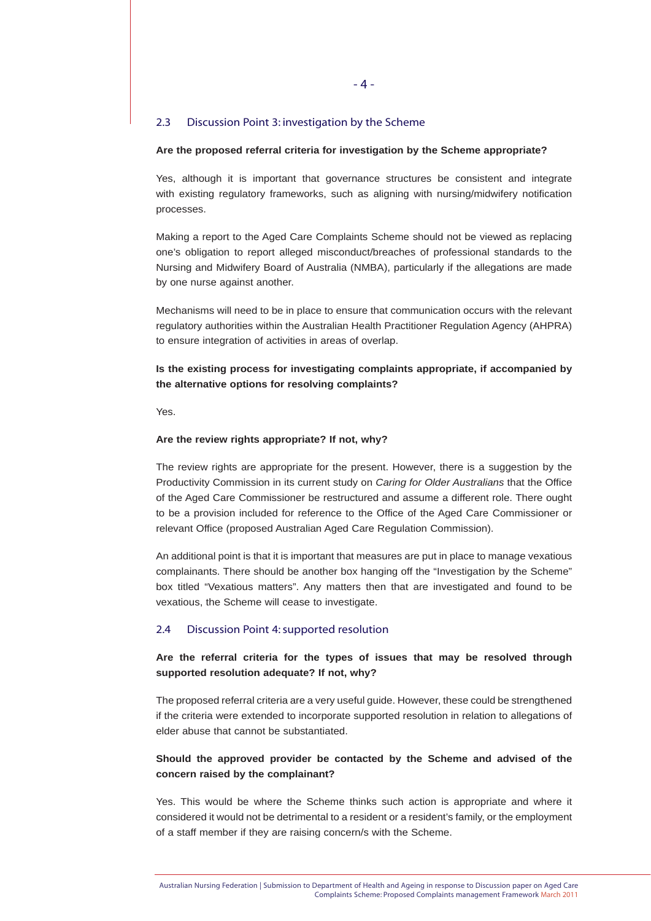#### 2.3 Discussion Point 3: investigation by the Scheme

#### **Are the proposed referral criteria for investigation by the Scheme appropriate?**

Yes, although it is important that governance structures be consistent and integrate with existing regulatory frameworks, such as aligning with nursing/midwifery notification processes.

Making a report to the Aged Care Complaints Scheme should not be viewed as replacing one's obligation to report alleged misconduct/breaches of professional standards to the Nursing and Midwifery Board of Australia (NMBA), particularly if the allegations are made by one nurse against another.

Mechanisms will need to be in place to ensure that communication occurs with the relevant regulatory authorities within the Australian Health Practitioner Regulation Agency (AHPRA) to ensure integration of activities in areas of overlap.

# **Is the existing process for investigating complaints appropriate, if accompanied by the alternative options for resolving complaints?**

Yes.

#### **Are the review rights appropriate? If not, why?**

The review rights are appropriate for the present. However, there is a suggestion by the Productivity Commission in its current study on *Caring for Older Australians* that the Office of the Aged Care Commissioner be restructured and assume a different role. There ought to be a provision included for reference to the Office of the Aged Care Commissioner or relevant Office (proposed Australian Aged Care Regulation Commission).

An additional point is that it is important that measures are put in place to manage vexatious complainants. There should be another box hanging off the "Investigation by the Scheme" box titled "Vexatious matters". Any matters then that are investigated and found to be vexatious, the Scheme will cease to investigate.

#### 2.4 Discussion Point 4: supported resolution

# **Are the referral criteria for the types of issues that may be resolved through supported resolution adequate? If not, why?**

The proposed referral criteria are a very useful guide. However, these could be strengthened if the criteria were extended to incorporate supported resolution in relation to allegations of elder abuse that cannot be substantiated.

# **Should the approved provider be contacted by the Scheme and advised of the concern raised by the complainant?**

Yes. This would be where the Scheme thinks such action is appropriate and where it considered it would not be detrimental to a resident or a resident's family, or the employment of a staff member if they are raising concern/s with the Scheme.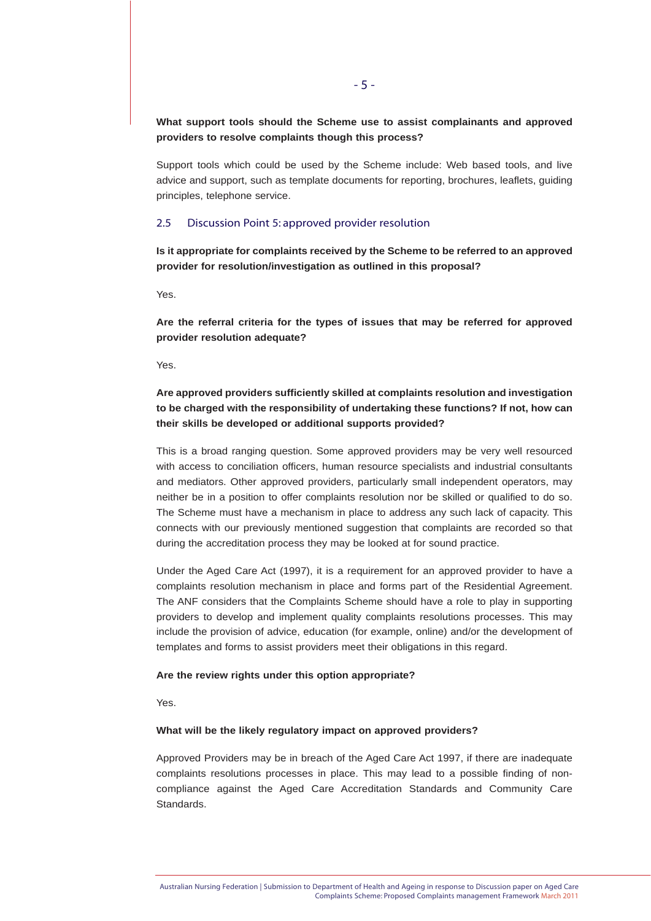**What support tools should the Scheme use to assist complainants and approved providers to resolve complaints though this process?**

Support tools which could be used by the Scheme include: Web based tools, and live advice and support, such as template documents for reporting, brochures, leaflets, guiding principles, telephone service.

#### 2.5 Discussion Point 5: approved provider resolution

**Is it appropriate for complaints received by the Scheme to be referred to an approved provider for resolution/investigation as outlined in this proposal?**

Yes.

**Are the referral criteria for the types of issues that may be referred for approved provider resolution adequate?**

Yes.

# **Are approved providers sufficiently skilled at complaints resolution and investigation to be charged with the responsibility of undertaking these functions? If not, how can their skills be developed or additional supports provided?**

This is a broad ranging question. Some approved providers may be very well resourced with access to conciliation officers, human resource specialists and industrial consultants and mediators. Other approved providers, particularly small independent operators, may neither be in a position to offer complaints resolution nor be skilled or qualified to do so. The Scheme must have a mechanism in place to address any such lack of capacity. This connects with our previously mentioned suggestion that complaints are recorded so that during the accreditation process they may be looked at for sound practice.

Under the Aged Care Act (1997), it is a requirement for an approved provider to have a complaints resolution mechanism in place and forms part of the Residential Agreement. The ANF considers that the Complaints Scheme should have a role to play in supporting providers to develop and implement quality complaints resolutions processes. This may include the provision of advice, education (for example, online) and/or the development of templates and forms to assist providers meet their obligations in this regard.

#### **Are the review rights under this option appropriate?**

Yes.

#### **What will be the likely regulatory impact on approved providers?**

Approved Providers may be in breach of the Aged Care Act 1997, if there are inadequate complaints resolutions processes in place. This may lead to a possible finding of noncompliance against the Aged Care Accreditation Standards and Community Care Standards.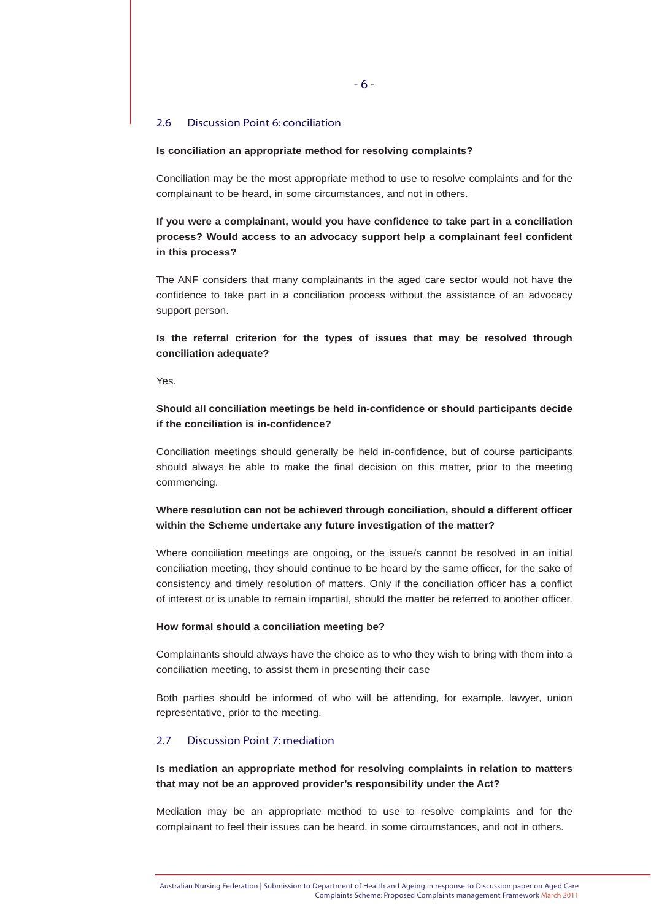#### 2.6 Discussion Point 6: conciliation

#### **Is conciliation an appropriate method for resolving complaints?**

Conciliation may be the most appropriate method to use to resolve complaints and for the complainant to be heard, in some circumstances, and not in others.

**If you were a complainant, would you have confidence to take part in a conciliation process? Would access to an advocacy support help a complainant feel confident in this process?**

The ANF considers that many complainants in the aged care sector would not have the confidence to take part in a conciliation process without the assistance of an advocacy support person.

**Is the referral criterion for the types of issues that may be resolved through conciliation adequate?** 

Yes.

# **Should all conciliation meetings be held in-confidence or should participants decide if the conciliation is in-confidence?**

Conciliation meetings should generally be held in-confidence, but of course participants should always be able to make the final decision on this matter, prior to the meeting commencing.

# **Where resolution can not be achieved through conciliation, should a different officer within the Scheme undertake any future investigation of the matter?**

Where conciliation meetings are ongoing, or the issue/s cannot be resolved in an initial conciliation meeting, they should continue to be heard by the same officer, for the sake of consistency and timely resolution of matters. Only if the conciliation officer has a conflict of interest or is unable to remain impartial, should the matter be referred to another officer.

#### **How formal should a conciliation meeting be?**

Complainants should always have the choice as to who they wish to bring with them into a conciliation meeting, to assist them in presenting their case

Both parties should be informed of who will be attending, for example, lawyer, union representative, prior to the meeting.

# 2.7 Discussion Point 7: mediation

# **Is mediation an appropriate method for resolving complaints in relation to matters that may not be an approved provider's responsibility under the Act?**

Mediation may be an appropriate method to use to resolve complaints and for the complainant to feel their issues can be heard, in some circumstances, and not in others.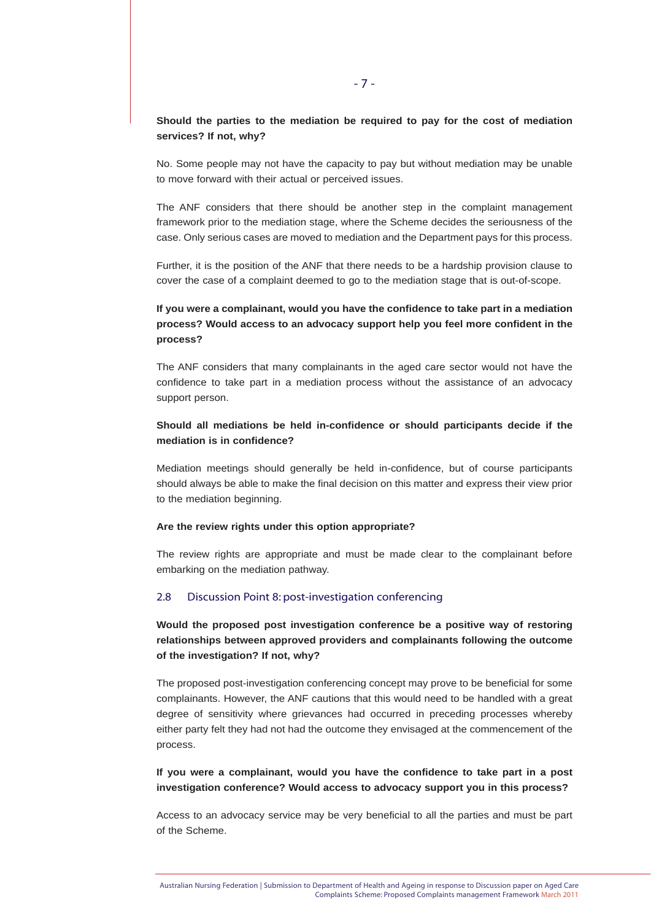# **Should the parties to the mediation be required to pay for the cost of mediation services? If not, why?**

No. Some people may not have the capacity to pay but without mediation may be unable to move forward with their actual or perceived issues.

The ANF considers that there should be another step in the complaint management framework prior to the mediation stage, where the Scheme decides the seriousness of the case. Only serious cases are moved to mediation and the Department pays for this process.

Further, it is the position of the ANF that there needs to be a hardship provision clause to cover the case of a complaint deemed to go to the mediation stage that is out-of-scope.

# **If you were a complainant, would you have the confidence to take part in a mediation process? Would access to an advocacy support help you feel more confident in the process?**

The ANF considers that many complainants in the aged care sector would not have the confidence to take part in a mediation process without the assistance of an advocacy support person.

# **Should all mediations be held in-confidence or should participants decide if the mediation is in confidence?**

Mediation meetings should generally be held in-confidence, but of course participants should always be able to make the final decision on this matter and express their view prior to the mediation beginning.

#### **Are the review rights under this option appropriate?**

The review rights are appropriate and must be made clear to the complainant before embarking on the mediation pathway.

#### 2.8 Discussion Point 8: post-investigation conferencing

**Would the proposed post investigation conference be a positive way of restoring relationships between approved providers and complainants following the outcome of the investigation? If not, why?**

The proposed post-investigation conferencing concept may prove to be beneficial for some complainants. However, the ANF cautions that this would need to be handled with a great degree of sensitivity where grievances had occurred in preceding processes whereby either party felt they had not had the outcome they envisaged at the commencement of the process.

# **If you were a complainant, would you have the confidence to take part in a post investigation conference? Would access to advocacy support you in this process?**

Access to an advocacy service may be very beneficial to all the parties and must be part of the Scheme.